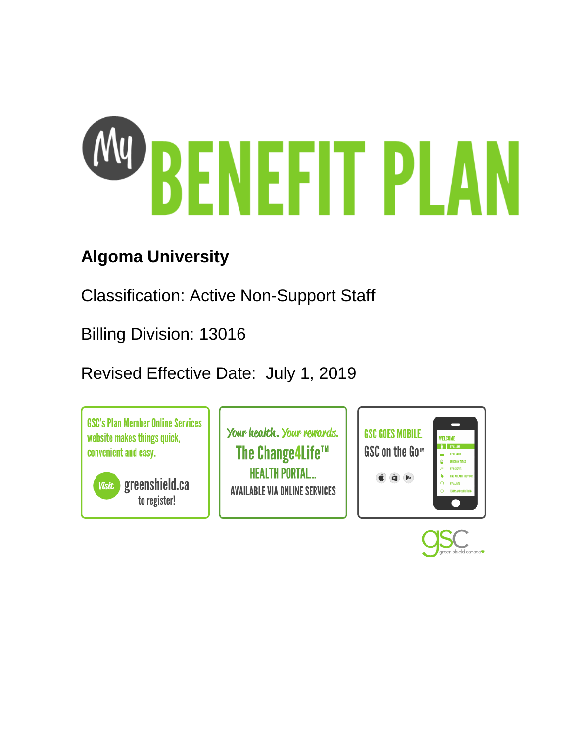

# **Algoma University**

Classification: Active Non-Support Staff

Billing Division: 13016

Revised Effective Date: July 1, 2019

**GSC's Plan Member Online Services** website makes things quick, convenient and easy.

**Visit** greenshield.ca to register!

Your health. Your rewards. The Change4Life™ **HEALTH PORTAL... AVAILABLE VIA ONLINE SERVICES** 



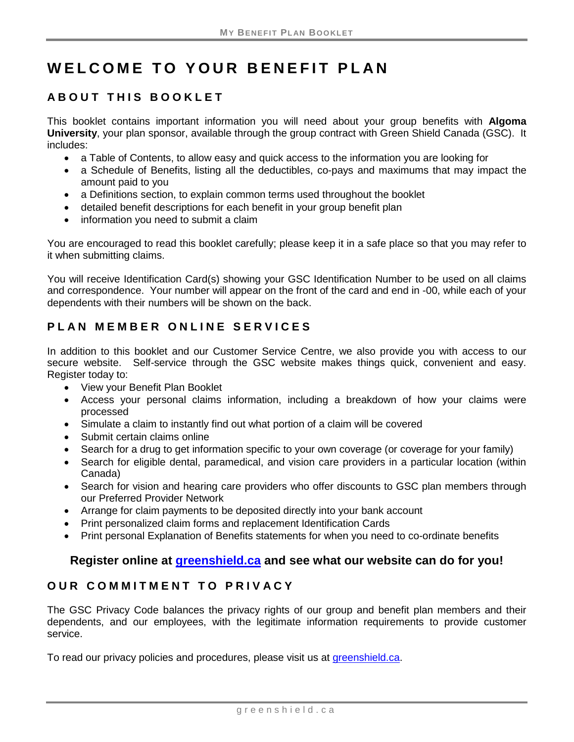# **WELCOME TO YOUR BENEFIT PLAN**

# **ABOUT THIS BOOKLET**

This booklet contains important information you will need about your group benefits with **Algoma University**, your plan sponsor, available through the group contract with Green Shield Canada (GSC). It includes:

- a Table of Contents, to allow easy and quick access to the information you are looking for
- a Schedule of Benefits, listing all the deductibles, co-pays and maximums that may impact the amount paid to you
- a Definitions section, to explain common terms used throughout the booklet
- detailed benefit descriptions for each benefit in your group benefit plan
- information you need to submit a claim

You are encouraged to read this booklet carefully; please keep it in a safe place so that you may refer to it when submitting claims.

You will receive Identification Card(s) showing your GSC Identification Number to be used on all claims and correspondence. Your number will appear on the front of the card and end in -00, while each of your dependents with their numbers will be shown on the back.

# **PLAN MEMBER ONLINE SERVICES**

In addition to this booklet and our Customer Service Centre, we also provide you with access to our secure website. Self-service through the GSC website makes things quick, convenient and easy. Register today to:

- View your Benefit Plan Booklet
- Access your personal claims information, including a breakdown of how your claims were processed
- Simulate a claim to instantly find out what portion of a claim will be covered
- Submit certain claims online
- Search for a drug to get information specific to your own coverage (or coverage for your family)
- Search for eligible dental, paramedical, and vision care providers in a particular location (within Canada)
- Search for vision and hearing care providers who offer discounts to GSC plan members through our Preferred Provider Network
- Arrange for claim payments to be deposited directly into your bank account
- Print personalized claim forms and replacement Identification Cards
- Print personal Explanation of Benefits statements for when you need to co-ordinate benefits

# **Register online at [greenshield.ca](http://www.greenshield.ca/) and see what our website can do for you!**

# **OUR COMMITMENT TO PRIVACY**

The GSC Privacy Code balances the privacy rights of our group and benefit plan members and their dependents, and our employees, with the legitimate information requirements to provide customer service.

To read our privacy policies and procedures, please visit us at [greenshield.ca.](http://www.greenshield.ca/)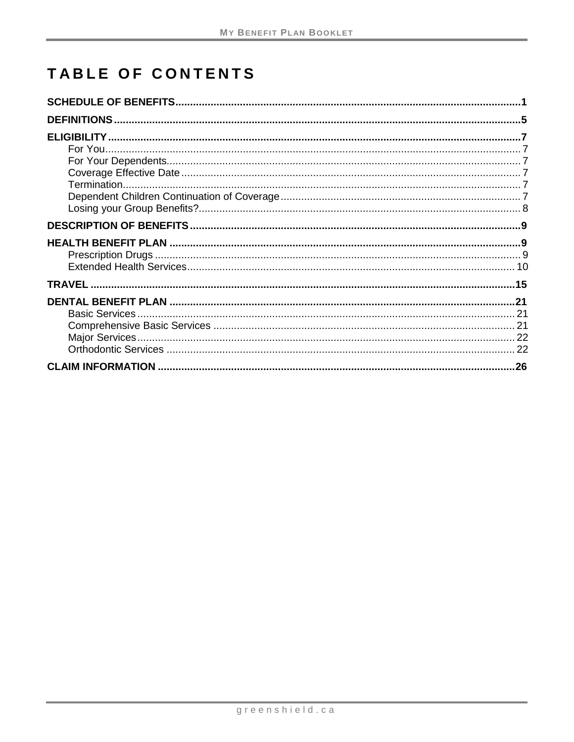# TABLE OF CONTENTS

| .26 |
|-----|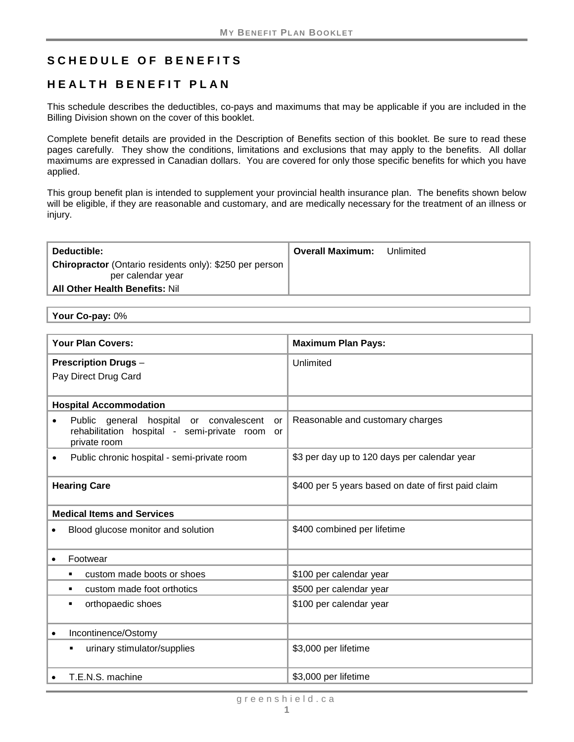# <span id="page-6-0"></span>**SCHEDULE OF BENEFITS**

# **HEALTH BENEFIT PLAN**

This schedule describes the deductibles, co-pays and maximums that may be applicable if you are included in the Billing Division shown on the cover of this booklet.

Complete benefit details are provided in the Description of Benefits section of this booklet. Be sure to read these pages carefully. They show the conditions, limitations and exclusions that may apply to the benefits. All dollar maximums are expressed in Canadian dollars. You are covered for only those specific benefits for which you have applied.

This group benefit plan is intended to supplement your provincial health insurance plan. The benefits shown below will be eligible, if they are reasonable and customary, and are medically necessary for the treatment of an illness or injury.

| Deductible:                                                                                                                  | Overall Maximum: | Unlimited |
|------------------------------------------------------------------------------------------------------------------------------|------------------|-----------|
| <b>Chiropractor</b> (Ontario residents only): \$250 per person<br>per calendar year<br><b>All Other Health Benefits: Nil</b> |                  |           |

**Your Co-pay:** 0%

| <b>Your Plan Covers:</b>                                                                                                     | <b>Maximum Plan Pays:</b>                           |
|------------------------------------------------------------------------------------------------------------------------------|-----------------------------------------------------|
| <b>Prescription Drugs-</b><br>Pay Direct Drug Card                                                                           | Unlimited                                           |
| <b>Hospital Accommodation</b>                                                                                                |                                                     |
| Public<br>general hospital or convalescent<br>or<br>rehabilitation hospital - semi-private room<br><b>or</b><br>private room | Reasonable and customary charges                    |
| Public chronic hospital - semi-private room<br>$\bullet$                                                                     | \$3 per day up to 120 days per calendar year        |
| <b>Hearing Care</b>                                                                                                          | \$400 per 5 years based on date of first paid claim |
| <b>Medical Items and Services</b>                                                                                            |                                                     |
| Blood glucose monitor and solution                                                                                           | \$400 combined per lifetime                         |
| Footwear                                                                                                                     |                                                     |
| custom made boots or shoes                                                                                                   | \$100 per calendar year                             |
| custom made foot orthotics<br>٠                                                                                              | \$500 per calendar year                             |
| orthopaedic shoes                                                                                                            | \$100 per calendar year                             |
| Incontinence/Ostomy<br>٠                                                                                                     |                                                     |
| urinary stimulator/supplies<br>٠                                                                                             | \$3,000 per lifetime                                |
| T.E.N.S. machine                                                                                                             | \$3,000 per lifetime                                |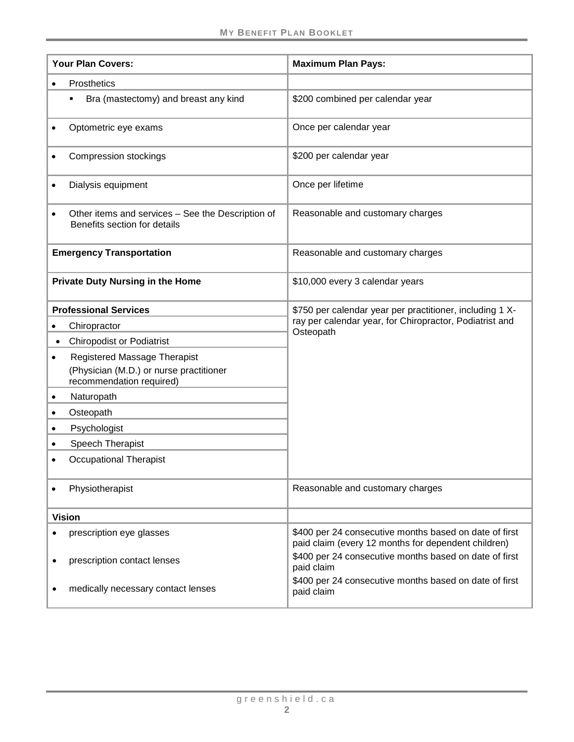|           | <b>Your Plan Covers:</b>                                                                            | <b>Maximum Plan Pays:</b>                                                                                     |
|-----------|-----------------------------------------------------------------------------------------------------|---------------------------------------------------------------------------------------------------------------|
|           |                                                                                                     |                                                                                                               |
|           | Prosthetics                                                                                         |                                                                                                               |
|           | Bra (mastectomy) and breast any kind                                                                | \$200 combined per calendar year                                                                              |
|           | Optometric eye exams                                                                                | Once per calendar year                                                                                        |
|           | <b>Compression stockings</b>                                                                        | \$200 per calendar year                                                                                       |
|           | Dialysis equipment                                                                                  | Once per lifetime                                                                                             |
|           | Other items and services - See the Description of<br>Benefits section for details                   | Reasonable and customary charges                                                                              |
|           | <b>Emergency Transportation</b>                                                                     | Reasonable and customary charges                                                                              |
|           | <b>Private Duty Nursing in the Home</b>                                                             | \$10,000 every 3 calendar years                                                                               |
|           | <b>Professional Services</b>                                                                        | \$750 per calendar year per practitioner, including 1 X-                                                      |
|           | Chiropractor                                                                                        | ray per calendar year, for Chiropractor, Podiatrist and                                                       |
| $\bullet$ | <b>Chiropodist or Podiatrist</b>                                                                    | Osteopath                                                                                                     |
|           | Registered Massage Therapist<br>(Physician (M.D.) or nurse practitioner<br>recommendation required) |                                                                                                               |
|           | Naturopath                                                                                          |                                                                                                               |
| $\bullet$ | Osteopath                                                                                           |                                                                                                               |
|           | Psychologist                                                                                        |                                                                                                               |
|           | Speech Therapist                                                                                    |                                                                                                               |
|           | <b>Occupational Therapist</b>                                                                       |                                                                                                               |
|           | Physiotherapist                                                                                     | Reasonable and customary charges                                                                              |
|           | <b>Vision</b>                                                                                       |                                                                                                               |
|           | prescription eye glasses                                                                            | \$400 per 24 consecutive months based on date of first<br>paid claim (every 12 months for dependent children) |
|           | prescription contact lenses                                                                         | \$400 per 24 consecutive months based on date of first<br>paid claim                                          |
|           | medically necessary contact lenses                                                                  | \$400 per 24 consecutive months based on date of first<br>paid claim                                          |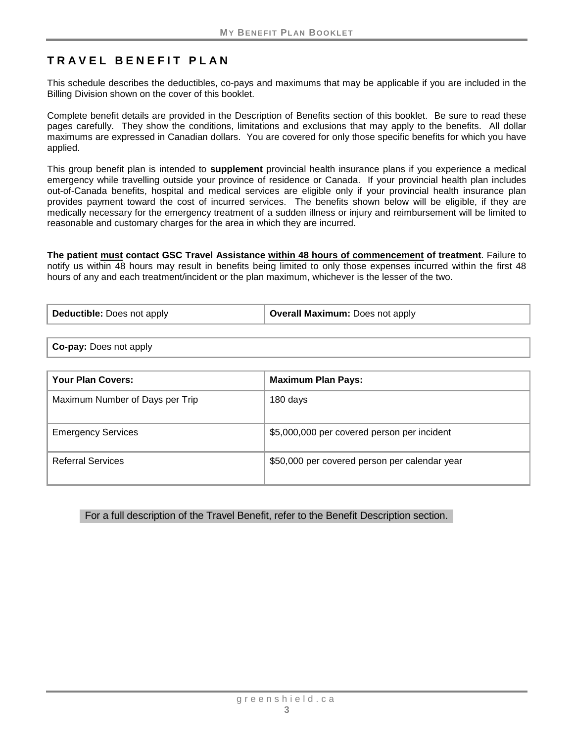# **TRAVEL BENEFIT PLA N**

This schedule describes the deductibles, co-pays and maximums that may be applicable if you are included in the Billing Division shown on the cover of this booklet.

Complete benefit details are provided in the Description of Benefits section of this booklet. Be sure to read these pages carefully. They show the conditions, limitations and exclusions that may apply to the benefits. All dollar maximums are expressed in Canadian dollars. You are covered for only those specific benefits for which you have applied.

This group benefit plan is intended to **supplement** provincial health insurance plans if you experience a medical emergency while travelling outside your province of residence or Canada. If your provincial health plan includes out-of-Canada benefits, hospital and medical services are eligible only if your provincial health insurance plan provides payment toward the cost of incurred services. The benefits shown below will be eligible, if they are medically necessary for the emergency treatment of a sudden illness or injury and reimbursement will be limited to reasonable and customary charges for the area in which they are incurred.

**The patient must contact GSC Travel Assistance within 48 hours of commencement of treatment**. Failure to notify us within 48 hours may result in benefits being limited to only those expenses incurred within the first 48 hours of any and each treatment/incident or the plan maximum, whichever is the lesser of the two.

| Deductible: Does not apply | Overall Maximum: Does not apply |
|----------------------------|---------------------------------|
|----------------------------|---------------------------------|

**Co-pay:** Does not apply

| <b>Your Plan Covers:</b>        | <b>Maximum Plan Pays:</b>                     |
|---------------------------------|-----------------------------------------------|
| Maximum Number of Days per Trip | 180 days                                      |
| <b>Emergency Services</b>       | \$5,000,000 per covered person per incident   |
| Referral Services               | \$50,000 per covered person per calendar year |

For a full description of the Travel Benefit, refer to the Benefit Description section.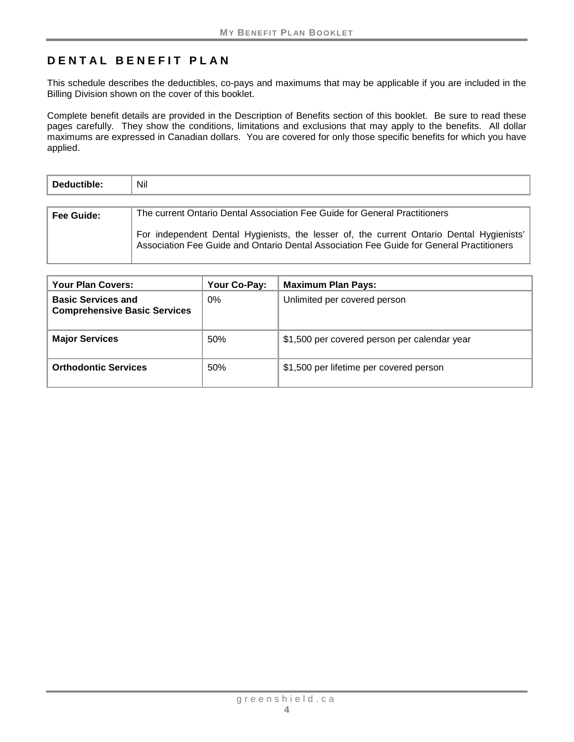# **DENTAL BENEFIT PLAN**

This schedule describes the deductibles, co-pays and maximums that may be applicable if you are included in the Billing Division shown on the cover of this booklet.

Complete benefit details are provided in the Description of Benefits section of this booklet. Be sure to read these pages carefully. They show the conditions, limitations and exclusions that may apply to the benefits. All dollar maximums are expressed in Canadian dollars. You are covered for only those specific benefits for which you have applied.

| Deductible: | <b>Nil</b>                                                                                                                                                                           |  |  |
|-------------|--------------------------------------------------------------------------------------------------------------------------------------------------------------------------------------|--|--|
|             |                                                                                                                                                                                      |  |  |
| Fee Guide:  | The current Ontario Dental Association Fee Guide for General Practitioners                                                                                                           |  |  |
|             | For independent Dental Hygienists, the lesser of, the current Ontario Dental Hygienists'<br>Association Fee Guide and Ontario Dental Association Fee Guide for General Practitioners |  |  |

| <b>Your Plan Covers:</b>                                         | Your Co-Pay: | <b>Maximum Plan Pays:</b>                    |
|------------------------------------------------------------------|--------------|----------------------------------------------|
| <b>Basic Services and</b><br><b>Comprehensive Basic Services</b> | $0\%$        | Unlimited per covered person                 |
| <b>Major Services</b>                                            | 50%          | \$1,500 per covered person per calendar year |
| <b>Orthodontic Services</b>                                      | 50%          | \$1,500 per lifetime per covered person      |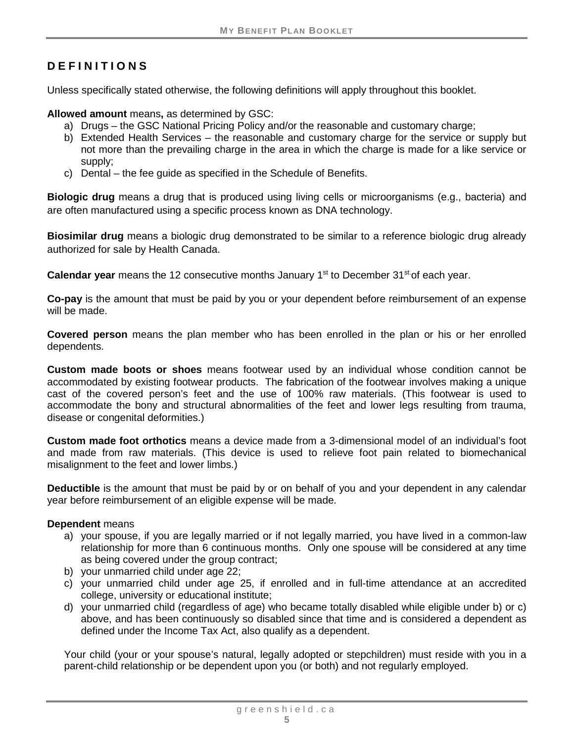# <span id="page-10-0"></span>**DEFINITIONS**

Unless specifically stated otherwise, the following definitions will apply throughout this booklet.

**Allowed amount** means**,** as determined by GSC:

- a) Drugs the GSC National Pricing Policy and/or the reasonable and customary charge;
- b) Extended Health Services the reasonable and customary charge for the service or supply but not more than the prevailing charge in the area in which the charge is made for a like service or supply;
- c) Dental the fee guide as specified in the Schedule of Benefits.

**Biologic drug** means a drug that is produced using living cells or microorganisms (e.g., bacteria) and are often manufactured using a specific process known as DNA technology.

**Biosimilar drug** means a biologic drug demonstrated to be similar to a reference biologic drug already authorized for sale by Health Canada.

**Calendar year** means the 12 consecutive months January 1<sup>st</sup> to December 31<sup>st</sup> of each year.

**Co-pay** is the amount that must be paid by you or your dependent before reimbursement of an expense will be made.

**Covered person** means the plan member who has been enrolled in the plan or his or her enrolled dependents.

**Custom made boots or shoes** means footwear used by an individual whose condition cannot be accommodated by existing footwear products. The fabrication of the footwear involves making a unique cast of the covered person's feet and the use of 100% raw materials. (This footwear is used to accommodate the bony and structural abnormalities of the feet and lower legs resulting from trauma, disease or congenital deformities.)

**Custom made foot orthotics** means a device made from a 3-dimensional model of an individual's foot and made from raw materials. (This device is used to relieve foot pain related to biomechanical misalignment to the feet and lower limbs.)

**Deductible** is the amount that must be paid by or on behalf of you and your dependent in any calendar year before reimbursement of an eligible expense will be made.

#### **Dependent** means

- a) your spouse, if you are legally married or if not legally married, you have lived in a common-law relationship for more than 6 continuous months. Only one spouse will be considered at any time as being covered under the group contract;
- b) your unmarried child under age 22;
- c) your unmarried child under age 25, if enrolled and in full-time attendance at an accredited college, university or educational institute;
- d) your unmarried child (regardless of age) who became totally disabled while eligible under b) or c) above, and has been continuously so disabled since that time and is considered a dependent as defined under the Income Tax Act, also qualify as a dependent.

Your child (your or your spouse's natural, legally adopted or stepchildren) must reside with you in a parent-child relationship or be dependent upon you (or both) and not regularly employed.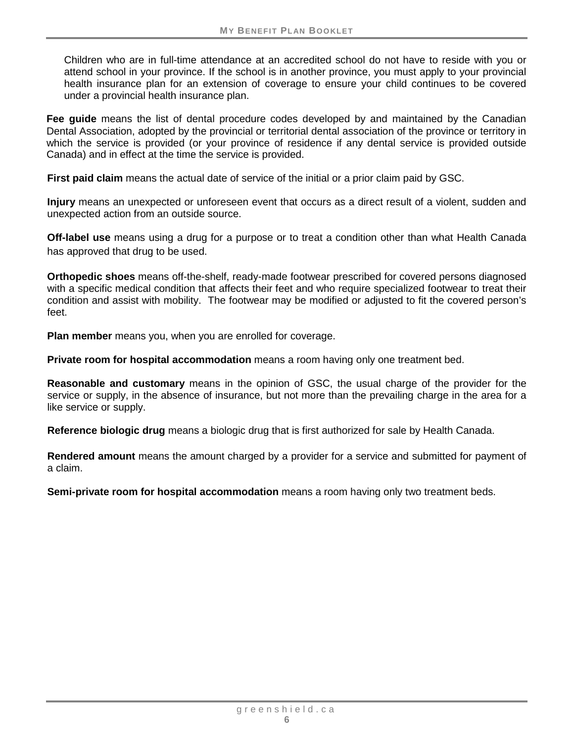Children who are in full-time attendance at an accredited school do not have to reside with you or attend school in your province. If the school is in another province, you must apply to your provincial health insurance plan for an extension of coverage to ensure your child continues to be covered under a provincial health insurance plan.

**Fee guide** means the list of dental procedure codes developed by and maintained by the Canadian Dental Association, adopted by the provincial or territorial dental association of the province or territory in which the service is provided (or your province of residence if any dental service is provided outside Canada) and in effect at the time the service is provided.

**First paid claim** means the actual date of service of the initial or a prior claim paid by GSC.

**Injury** means an unexpected or unforeseen event that occurs as a direct result of a violent, sudden and unexpected action from an outside source.

**Off-label use** means using a drug for a purpose or to treat a condition other than what Health Canada has approved that drug to be used.

**Orthopedic shoes** means off-the-shelf, ready-made footwear prescribed for covered persons diagnosed with a specific medical condition that affects their feet and who require specialized footwear to treat their condition and assist with mobility. The footwear may be modified or adjusted to fit the covered person's feet.

**Plan member** means you, when you are enrolled for coverage.

**Private room for hospital accommodation** means a room having only one treatment bed.

**Reasonable and customary** means in the opinion of GSC, the usual charge of the provider for the service or supply, in the absence of insurance, but not more than the prevailing charge in the area for a like service or supply.

**Reference biologic drug** means a biologic drug that is first authorized for sale by Health Canada.

**Rendered amount** means the amount charged by a provider for a service and submitted for payment of a claim.

**Semi-private room for hospital accommodation** means a room having only two treatment beds.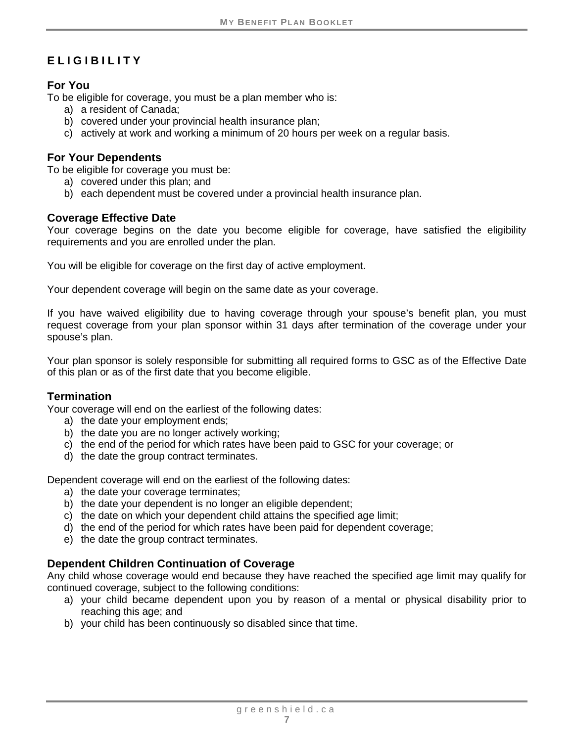# <span id="page-12-0"></span>**ELIGIBILITY**

### <span id="page-12-1"></span>**For You**

To be eligible for coverage, you must be a plan member who is:

- a) a resident of Canada;
- b) covered under your provincial health insurance plan;
- c) actively at work and working a minimum of 20 hours per week on a regular basis.

#### <span id="page-12-2"></span>**For Your Dependents**

To be eligible for coverage you must be:

- a) covered under this plan; and
- b) each dependent must be covered under a provincial health insurance plan.

#### <span id="page-12-3"></span>**Coverage Effective Date**

Your coverage begins on the date you become eligible for coverage, have satisfied the eligibility requirements and you are enrolled under the plan.

You will be eligible for coverage on the first day of active employment.

Your dependent coverage will begin on the same date as your coverage.

If you have waived eligibility due to having coverage through your spouse's benefit plan, you must request coverage from your plan sponsor within 31 days after termination of the coverage under your spouse's plan.

Your plan sponsor is solely responsible for submitting all required forms to GSC as of the Effective Date of this plan or as of the first date that you become eligible.

# <span id="page-12-4"></span>**Termination**

Your coverage will end on the earliest of the following dates:

- a) the date your employment ends;
- b) the date you are no longer actively working;
- c) the end of the period for which rates have been paid to GSC for your coverage; or
- d) the date the group contract terminates.

Dependent coverage will end on the earliest of the following dates:

- a) the date your coverage terminates;
- b) the date your dependent is no longer an eligible dependent;
- c) the date on which your dependent child attains the specified age limit;
- d) the end of the period for which rates have been paid for dependent coverage;
- e) the date the group contract terminates.

# <span id="page-12-5"></span>**Dependent Children Continuation of Coverage**

Any child whose coverage would end because they have reached the specified age limit may qualify for continued coverage, subject to the following conditions:

- a) your child became dependent upon you by reason of a mental or physical disability prior to reaching this age; and
- b) your child has been continuously so disabled since that time.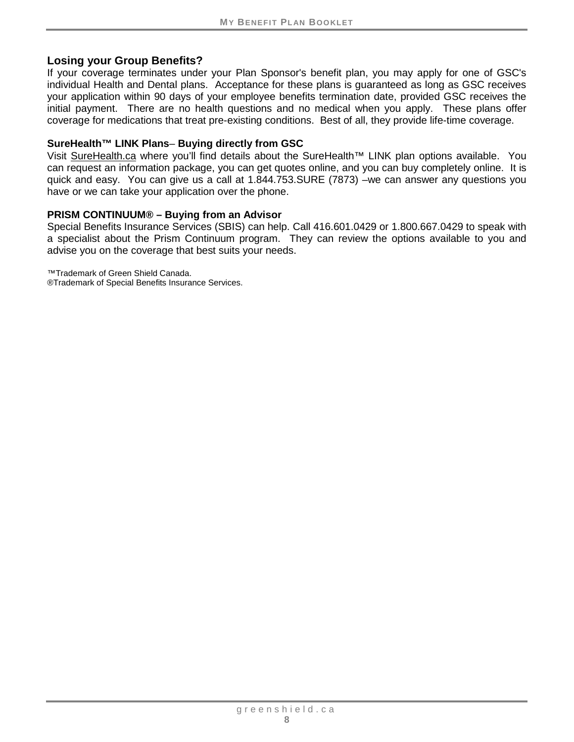#### <span id="page-13-0"></span>**Losing your Group Benefits?**

If your coverage terminates under your Plan Sponsor's benefit plan, you may apply for one of GSC's individual Health and Dental plans. Acceptance for these plans is guaranteed as long as GSC receives your application within 90 days of your employee benefits termination date, provided GSC receives the initial payment. There are no health questions and no medical when you apply. These plans offer coverage for medications that treat pre-existing conditions. Best of all, they provide life-time coverage.

#### **SureHealth™ LINK Plans**– **Buying directly from GSC**

Visit [SureHealth.ca](http://surehealth.ca/) where you'll find details about the SureHealth™ LINK plan options available. You can request an information package, you can get quotes online, and you can buy completely online. It is quick and easy. You can give us a call at 1.844.753.SURE (7873) –we can answer any questions you have or we can take your application over the phone.

#### **PRISM CONTINUUM® – Buying from an Advisor**

Special Benefits Insurance Services (SBIS) can help. Call 416.601.0429 or 1.800.667.0429 to speak with a specialist about the Prism Continuum program. They can review the options available to you and advise you on the coverage that best suits your needs.

™Trademark of Green Shield Canada.

®Trademark of Special Benefits Insurance Services.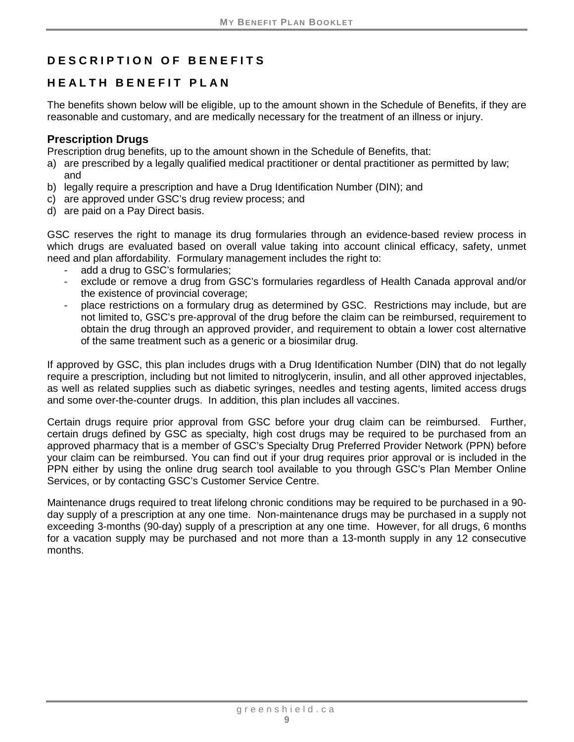# <span id="page-14-0"></span>**DESCRIPTION OF BENEFITS**

# <span id="page-14-1"></span>**HEALTH BENEFIT PLAN**

The benefits shown below will be eligible, up to the amount shown in the Schedule of Benefits, if they are reasonable and customary, and are medically necessary for the treatment of an illness or injury.

#### <span id="page-14-2"></span>**Prescription Drugs**

Prescription drug benefits, up to the amount shown in the Schedule of Benefits, that:

- a) are prescribed by a legally qualified medical practitioner or dental practitioner as permitted by law; and
- b) legally require a prescription and have a Drug Identification Number (DIN); and
- c) are approved under GSC's drug review process; and
- d) are paid on a Pay Direct basis.

GSC reserves the right to manage its drug formularies through an evidence-based review process in which drugs are evaluated based on overall value taking into account clinical efficacy, safety, unmet need and plan affordability. Formulary management includes the right to:

- add a drug to GSC's formularies:
- exclude or remove a drug from GSC's formularies regardless of Health Canada approval and/or the existence of provincial coverage;
- place restrictions on a formulary drug as determined by GSC. Restrictions may include, but are not limited to, GSC's pre-approval of the drug before the claim can be reimbursed, requirement to obtain the drug through an approved provider, and requirement to obtain a lower cost alternative of the same treatment such as a generic or a biosimilar drug.

If approved by GSC, this plan includes drugs with a Drug Identification Number (DIN) that do not legally require a prescription, including but not limited to nitroglycerin, insulin, and all other approved injectables, as well as related supplies such as diabetic syringes, needles and testing agents, limited access drugs and some over-the-counter drugs. In addition, this plan includes all vaccines.

Certain drugs require prior approval from GSC before your drug claim can be reimbursed. Further, certain drugs defined by GSC as specialty, high cost drugs may be required to be purchased from an approved pharmacy that is a member of GSC's Specialty Drug Preferred Provider Network (PPN) before your claim can be reimbursed. You can find out if your drug requires prior approval or is included in the PPN either by using the online drug search tool available to you through GSC's Plan Member Online Services, or by contacting GSC's Customer Service Centre.

Maintenance drugs required to treat lifelong chronic conditions may be required to be purchased in a 90 day supply of a prescription at any one time. Non-maintenance drugs may be purchased in a supply not exceeding 3-months (90-day) supply of a prescription at any one time. However, for all drugs, 6 months for a vacation supply may be purchased and not more than a 13-month supply in any 12 consecutive months.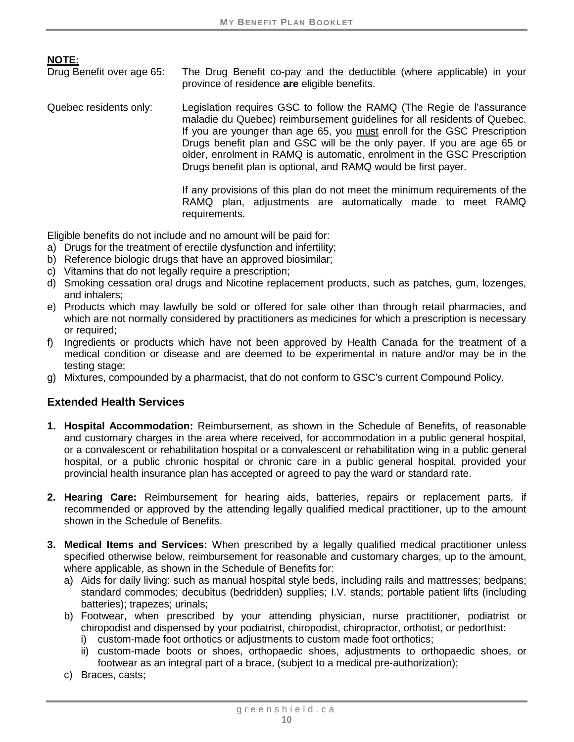**NOTE:**<br>Drug Benefit over age 65:

The Drug Benefit co-pay and the deductible (where applicable) in your province of residence **are** eligible benefits.

Quebec residents only: Legislation requires GSC to follow the RAMQ (The Regie de l'assurance maladie du Quebec) reimbursement guidelines for all residents of Quebec. If you are younger than age 65, you must enroll for the GSC Prescription Drugs benefit plan and GSC will be the only payer. If you are age 65 or older, enrolment in RAMQ is automatic, enrolment in the GSC Prescription Drugs benefit plan is optional, and RAMQ would be first payer.

> If any provisions of this plan do not meet the minimum requirements of the RAMQ plan, adjustments are automatically made to meet RAMQ requirements.

Eligible benefits do not include and no amount will be paid for:

- a) Drugs for the treatment of erectile dysfunction and infertility;
- b) Reference biologic drugs that have an approved biosimilar;
- c) Vitamins that do not legally require a prescription;
- d) Smoking cessation oral drugs and Nicotine replacement products, such as patches, gum, lozenges, and inhalers;
- e) Products which may lawfully be sold or offered for sale other than through retail pharmacies, and which are not normally considered by practitioners as medicines for which a prescription is necessary or required;
- f) Ingredients or products which have not been approved by Health Canada for the treatment of a medical condition or disease and are deemed to be experimental in nature and/or may be in the testing stage;
- g) Mixtures, compounded by a pharmacist, that do not conform to GSC's current Compound Policy.

#### <span id="page-15-0"></span>**Extended Health Services**

- **1. Hospital Accommodation:** Reimbursement, as shown in the Schedule of Benefits, of reasonable and customary charges in the area where received, for accommodation in a public general hospital, or a convalescent or rehabilitation hospital or a convalescent or rehabilitation wing in a public general hospital, or a public chronic hospital or chronic care in a public general hospital, provided your provincial health insurance plan has accepted or agreed to pay the ward or standard rate.
- **2. Hearing Care:** Reimbursement for hearing aids, batteries, repairs or replacement parts, if recommended or approved by the attending legally qualified medical practitioner, up to the amount shown in the Schedule of Benefits.
- **3. Medical Items and Services:** When prescribed by a legally qualified medical practitioner unless specified otherwise below, reimbursement for reasonable and customary charges, up to the amount, where applicable, as shown in the Schedule of Benefits for:
	- a) Aids for daily living: such as manual hospital style beds, including rails and mattresses; bedpans; standard commodes; decubitus (bedridden) supplies; I.V. stands; portable patient lifts (including batteries); trapezes; urinals;
	- b) Footwear, when prescribed by your attending physician, nurse practitioner, podiatrist or chiropodist and dispensed by your podiatrist, chiropodist, chiropractor, orthotist, or pedorthist:
		- i) custom-made foot orthotics or adjustments to custom made foot orthotics;
		- ii) custom-made boots or shoes, orthopaedic shoes, adjustments to orthopaedic shoes, or footwear as an integral part of a brace, (subject to a medical pre-authorization);
	- c) Braces, casts;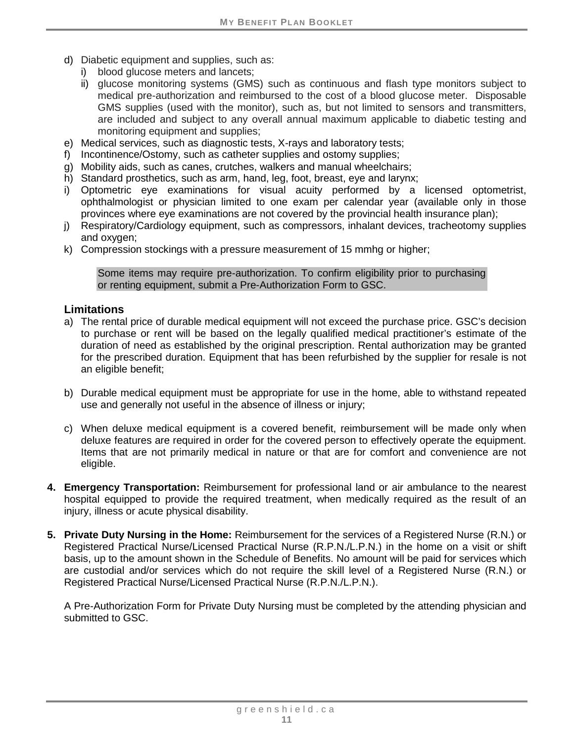- d) Diabetic equipment and supplies, such as:
	- i) blood glucose meters and lancets;
	- ii) glucose monitoring systems (GMS) such as continuous and flash type monitors subject to medical pre-authorization and reimbursed to the cost of a blood glucose meter. Disposable GMS supplies (used with the monitor), such as, but not limited to sensors and transmitters, are included and subject to any overall annual maximum applicable to diabetic testing and monitoring equipment and supplies;
- e) Medical services, such as diagnostic tests, X-rays and laboratory tests;
- f) Incontinence/Ostomy, such as catheter supplies and ostomy supplies;
- g) Mobility aids, such as canes, crutches, walkers and manual wheelchairs;
- h) Standard prosthetics, such as arm, hand, leg, foot, breast, eye and larynx;
- i) Optometric eye examinations for visual acuity performed by a licensed optometrist, ophthalmologist or physician limited to one exam per calendar year (available only in those provinces where eye examinations are not covered by the provincial health insurance plan);
- j) Respiratory/Cardiology equipment, such as compressors, inhalant devices, tracheotomy supplies and oxygen;
- k) Compression stockings with a pressure measurement of 15 mmhg or higher;

Some items may require pre-authorization. To confirm eligibility prior to purchasing or renting equipment, submit a Pre-Authorization Form to GSC.

#### **Limitations**

- a) The rental price of durable medical equipment will not exceed the purchase price. GSC's decision to purchase or rent will be based on the legally qualified medical practitioner's estimate of the duration of need as established by the original prescription. Rental authorization may be granted for the prescribed duration. Equipment that has been refurbished by the supplier for resale is not an eligible benefit;
- b) Durable medical equipment must be appropriate for use in the home, able to withstand repeated use and generally not useful in the absence of illness or injury;
- c) When deluxe medical equipment is a covered benefit, reimbursement will be made only when deluxe features are required in order for the covered person to effectively operate the equipment. Items that are not primarily medical in nature or that are for comfort and convenience are not eligible.
- **4. Emergency Transportation:** Reimbursement for professional land or air ambulance to the nearest hospital equipped to provide the required treatment, when medically required as the result of an injury, illness or acute physical disability.
- **5. Private Duty Nursing in the Home:** Reimbursement for the services of a Registered Nurse (R.N.) or Registered Practical Nurse/Licensed Practical Nurse (R.P.N./L.P.N.) in the home on a visit or shift basis, up to the amount shown in the Schedule of Benefits. No amount will be paid for services which are custodial and/or services which do not require the skill level of a Registered Nurse (R.N.) or Registered Practical Nurse/Licensed Practical Nurse (R.P.N./L.P.N.).

A Pre-Authorization Form for Private Duty Nursing must be completed by the attending physician and submitted to GSC.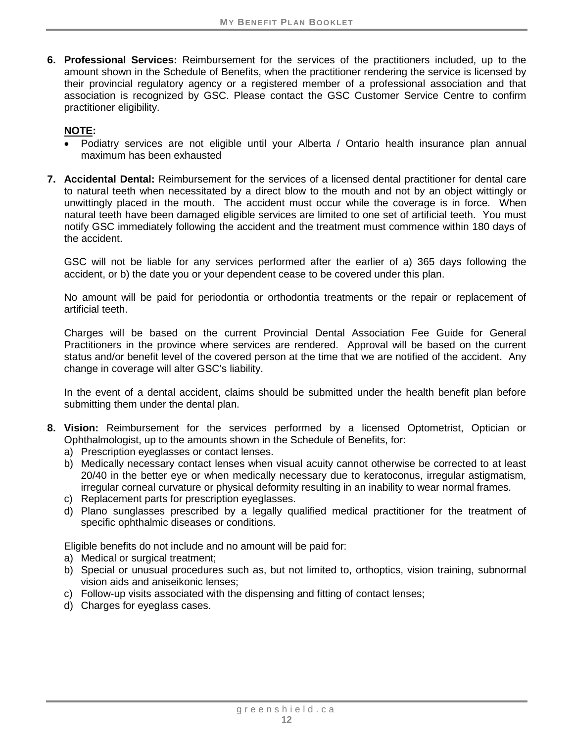**6. Professional Services:** Reimbursement for the services of the practitioners included, up to the amount shown in the Schedule of Benefits, when the practitioner rendering the service is licensed by their provincial regulatory agency or a registered member of a professional association and that association is recognized by GSC. Please contact the GSC Customer Service Centre to confirm practitioner eligibility.

### **NOTE:**

- Podiatry services are not eligible until your Alberta / Ontario health insurance plan annual maximum has been exhausted
- **7. Accidental Dental:** Reimbursement for the services of a licensed dental practitioner for dental care to natural teeth when necessitated by a direct blow to the mouth and not by an object wittingly or unwittingly placed in the mouth. The accident must occur while the coverage is in force. When natural teeth have been damaged eligible services are limited to one set of artificial teeth. You must notify GSC immediately following the accident and the treatment must commence within 180 days of the accident.

GSC will not be liable for any services performed after the earlier of a) 365 days following the accident, or b) the date you or your dependent cease to be covered under this plan.

No amount will be paid for periodontia or orthodontia treatments or the repair or replacement of artificial teeth.

Charges will be based on the current Provincial Dental Association Fee Guide for General Practitioners in the province where services are rendered. Approval will be based on the current status and/or benefit level of the covered person at the time that we are notified of the accident. Any change in coverage will alter GSC's liability.

In the event of a dental accident, claims should be submitted under the health benefit plan before submitting them under the dental plan.

- **8. Vision:** Reimbursement for the services performed by a licensed Optometrist, Optician or Ophthalmologist, up to the amounts shown in the Schedule of Benefits, for:
	- a) Prescription eyeglasses or contact lenses.
	- b) Medically necessary contact lenses when visual acuity cannot otherwise be corrected to at least 20/40 in the better eye or when medically necessary due to keratoconus, irregular astigmatism, irregular corneal curvature or physical deformity resulting in an inability to wear normal frames.
	- c) Replacement parts for prescription eyeglasses.
	- d) Plano sunglasses prescribed by a legally qualified medical practitioner for the treatment of specific ophthalmic diseases or conditions.

Eligible benefits do not include and no amount will be paid for:

- a) Medical or surgical treatment;
- b) Special or unusual procedures such as, but not limited to, orthoptics, vision training, subnormal vision aids and aniseikonic lenses;
- c) Follow-up visits associated with the dispensing and fitting of contact lenses;
- d) Charges for eyeglass cases.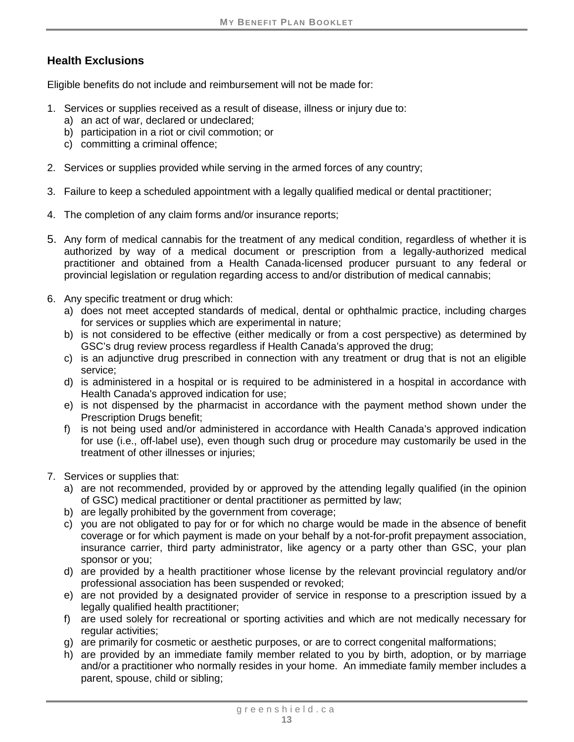# **Health Exclusions**

Eligible benefits do not include and reimbursement will not be made for:

- 1. Services or supplies received as a result of disease, illness or injury due to:
	- a) an act of war, declared or undeclared;
	- b) participation in a riot or civil commotion; or
	- c) committing a criminal offence;
- 2. Services or supplies provided while serving in the armed forces of any country;
- 3. Failure to keep a scheduled appointment with a legally qualified medical or dental practitioner;
- 4. The completion of any claim forms and/or insurance reports;
- 5. Any form of medical cannabis for the treatment of any medical condition, regardless of whether it is authorized by way of a medical document or prescription from a legally-authorized medical practitioner and obtained from a Health Canada-licensed producer pursuant to any federal or provincial legislation or regulation regarding access to and/or distribution of medical cannabis;
- 6. Any specific treatment or drug which:
	- a) does not meet accepted standards of medical, dental or ophthalmic practice, including charges for services or supplies which are experimental in nature;
	- b) is not considered to be effective (either medically or from a cost perspective) as determined by GSC's drug review process regardless if Health Canada's approved the drug;
	- c) is an adjunctive drug prescribed in connection with any treatment or drug that is not an eligible service;
	- d) is administered in a hospital or is required to be administered in a hospital in accordance with Health Canada's approved indication for use;
	- e) is not dispensed by the pharmacist in accordance with the payment method shown under the Prescription Drugs benefit;
	- f) is not being used and/or administered in accordance with Health Canada's approved indication for use (i.e., off-label use), even though such drug or procedure may customarily be used in the treatment of other illnesses or injuries;
- 7. Services or supplies that:
	- a) are not recommended, provided by or approved by the attending legally qualified (in the opinion of GSC) medical practitioner or dental practitioner as permitted by law;
	- b) are legally prohibited by the government from coverage;
	- c) you are not obligated to pay for or for which no charge would be made in the absence of benefit coverage or for which payment is made on your behalf by a not-for-profit prepayment association, insurance carrier, third party administrator, like agency or a party other than GSC, your plan sponsor or you;
	- d) are provided by a health practitioner whose license by the relevant provincial regulatory and/or professional association has been suspended or revoked;
	- e) are not provided by a designated provider of service in response to a prescription issued by a legally qualified health practitioner;
	- f) are used solely for recreational or sporting activities and which are not medically necessary for regular activities:
	- g) are primarily for cosmetic or aesthetic purposes, or are to correct congenital malformations;
	- h) are provided by an immediate family member related to you by birth, adoption, or by marriage and/or a practitioner who normally resides in your home. An immediate family member includes a parent, spouse, child or sibling;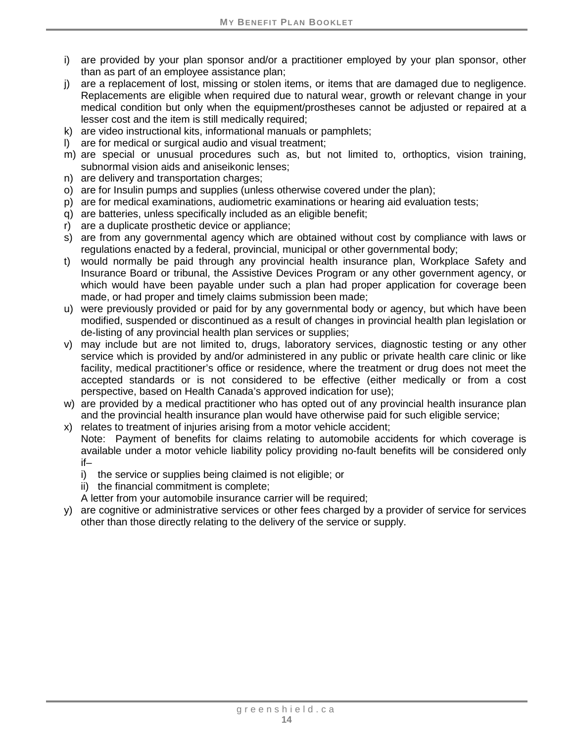- i) are provided by your plan sponsor and/or a practitioner employed by your plan sponsor, other than as part of an employee assistance plan;
- j) are a replacement of lost, missing or stolen items, or items that are damaged due to negligence. Replacements are eligible when required due to natural wear, growth or relevant change in your medical condition but only when the equipment/prostheses cannot be adjusted or repaired at a lesser cost and the item is still medically required;
- k) are video instructional kits, informational manuals or pamphlets;
- l) are for medical or surgical audio and visual treatment;
- m) are special or unusual procedures such as, but not limited to, orthoptics, vision training, subnormal vision aids and aniseikonic lenses;
- n) are delivery and transportation charges;
- o) are for Insulin pumps and supplies (unless otherwise covered under the plan);
- p) are for medical examinations, audiometric examinations or hearing aid evaluation tests;
- q) are batteries, unless specifically included as an eligible benefit;
- r) are a duplicate prosthetic device or appliance;
- s) are from any governmental agency which are obtained without cost by compliance with laws or regulations enacted by a federal, provincial, municipal or other governmental body;
- t) would normally be paid through any provincial health insurance plan, Workplace Safety and Insurance Board or tribunal, the Assistive Devices Program or any other government agency, or which would have been payable under such a plan had proper application for coverage been made, or had proper and timely claims submission been made;
- u) were previously provided or paid for by any governmental body or agency, but which have been modified, suspended or discontinued as a result of changes in provincial health plan legislation or de-listing of any provincial health plan services or supplies;
- v) may include but are not limited to, drugs, laboratory services, diagnostic testing or any other service which is provided by and/or administered in any public or private health care clinic or like facility, medical practitioner's office or residence, where the treatment or drug does not meet the accepted standards or is not considered to be effective (either medically or from a cost perspective, based on Health Canada's approved indication for use);
- w) are provided by a medical practitioner who has opted out of any provincial health insurance plan and the provincial health insurance plan would have otherwise paid for such eligible service;
- x) relates to treatment of injuries arising from a motor vehicle accident; Note: Payment of benefits for claims relating to automobile accidents for which coverage is available under a motor vehicle liability policy providing no-fault benefits will be considered only

if–

- i) the service or supplies being claimed is not eligible; or
- ii) the financial commitment is complete;
- A letter from your automobile insurance carrier will be required;
- y) are cognitive or administrative services or other fees charged by a provider of service for services other than those directly relating to the delivery of the service or supply.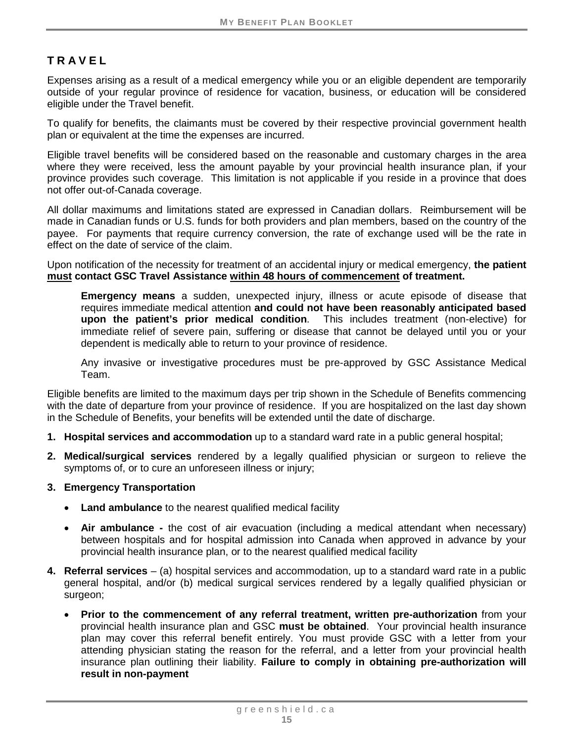# <span id="page-20-0"></span>**TRAVEL**

Expenses arising as a result of a medical emergency while you or an eligible dependent are temporarily outside of your regular province of residence for vacation, business, or education will be considered eligible under the Travel benefit.

To qualify for benefits, the claimants must be covered by their respective provincial government health plan or equivalent at the time the expenses are incurred.

Eligible travel benefits will be considered based on the reasonable and customary charges in the area where they were received, less the amount payable by your provincial health insurance plan, if your province provides such coverage. This limitation is not applicable if you reside in a province that does not offer out-of-Canada coverage.

All dollar maximums and limitations stated are expressed in Canadian dollars. Reimbursement will be made in Canadian funds or U.S. funds for both providers and plan members, based on the country of the payee. For payments that require currency conversion, the rate of exchange used will be the rate in effect on the date of service of the claim.

Upon notification of the necessity for treatment of an accidental injury or medical emergency, **the patient must contact GSC Travel Assistance within 48 hours of commencement of treatment.**

**Emergency means** a sudden, unexpected injury, illness or acute episode of disease that requires immediate medical attention **and could not have been reasonably anticipated based upon the patient's prior medical condition**. This includes treatment (non-elective) for immediate relief of severe pain, suffering or disease that cannot be delayed until you or your dependent is medically able to return to your province of residence.

Any invasive or investigative procedures must be pre-approved by GSC Assistance Medical Team.

Eligible benefits are limited to the maximum days per trip shown in the Schedule of Benefits commencing with the date of departure from your province of residence. If you are hospitalized on the last day shown in the Schedule of Benefits, your benefits will be extended until the date of discharge.

- **1. Hospital services and accommodation** up to a standard ward rate in a public general hospital;
- **2. Medical/surgical services** rendered by a legally qualified physician or surgeon to relieve the symptoms of, or to cure an unforeseen illness or injury;
- **3. Emergency Transportation**
	- **Land ambulance** to the nearest qualified medical facility
	- **Air ambulance -** the cost of air evacuation (including a medical attendant when necessary) between hospitals and for hospital admission into Canada when approved in advance by your provincial health insurance plan, or to the nearest qualified medical facility
- **4. Referral services** (a) hospital services and accommodation, up to a standard ward rate in a public general hospital, and/or (b) medical surgical services rendered by a legally qualified physician or surgeon;
	- **Prior to the commencement of any referral treatment, written pre-authorization** from your provincial health insurance plan and GSC **must be obtained**. Your provincial health insurance plan may cover this referral benefit entirely. You must provide GSC with a letter from your attending physician stating the reason for the referral, and a letter from your provincial health insurance plan outlining their liability. **Failure to comply in obtaining pre-authorization will result in non-payment**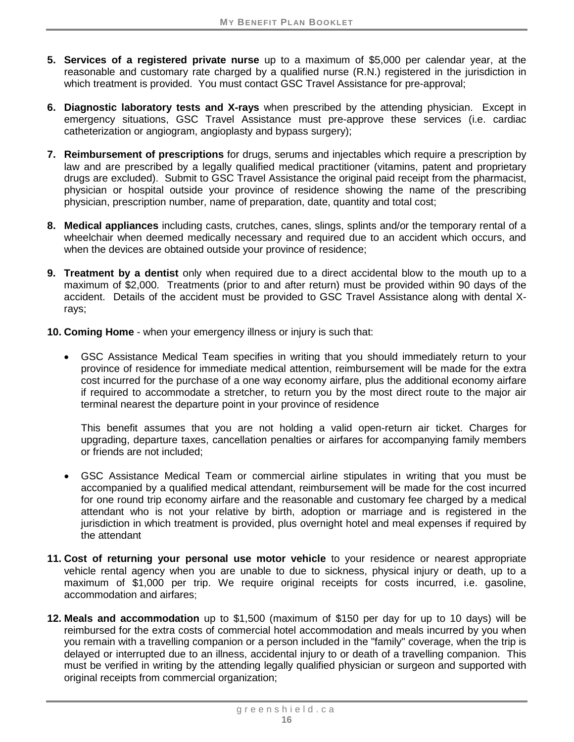- **5. Services of a registered private nurse** up to a maximum of \$5,000 per calendar year, at the reasonable and customary rate charged by a qualified nurse (R.N.) registered in the jurisdiction in which treatment is provided. You must contact GSC Travel Assistance for pre-approval;
- **6. Diagnostic laboratory tests and X-rays** when prescribed by the attending physician. Except in emergency situations, GSC Travel Assistance must pre-approve these services (i.e. cardiac catheterization or angiogram, angioplasty and bypass surgery);
- **7. Reimbursement of prescriptions** for drugs, serums and injectables which require a prescription by law and are prescribed by a legally qualified medical practitioner (vitamins, patent and proprietary drugs are excluded). Submit to GSC Travel Assistance the original paid receipt from the pharmacist, physician or hospital outside your province of residence showing the name of the prescribing physician, prescription number, name of preparation, date, quantity and total cost;
- **8. Medical appliances** including casts, crutches, canes, slings, splints and/or the temporary rental of a wheelchair when deemed medically necessary and required due to an accident which occurs, and when the devices are obtained outside your province of residence;
- **9. Treatment by a dentist** only when required due to a direct accidental blow to the mouth up to a maximum of \$2,000. Treatments (prior to and after return) must be provided within 90 days of the accident. Details of the accident must be provided to GSC Travel Assistance along with dental Xrays;
- **10. Coming Home** when your emergency illness or injury is such that:
	- GSC Assistance Medical Team specifies in writing that you should immediately return to your province of residence for immediate medical attention, reimbursement will be made for the extra cost incurred for the purchase of a one way economy airfare, plus the additional economy airfare if required to accommodate a stretcher, to return you by the most direct route to the major air terminal nearest the departure point in your province of residence

This benefit assumes that you are not holding a valid open-return air ticket. Charges for upgrading, departure taxes, cancellation penalties or airfares for accompanying family members or friends are not included;

- GSC Assistance Medical Team or commercial airline stipulates in writing that you must be accompanied by a qualified medical attendant, reimbursement will be made for the cost incurred for one round trip economy airfare and the reasonable and customary fee charged by a medical attendant who is not your relative by birth, adoption or marriage and is registered in the jurisdiction in which treatment is provided, plus overnight hotel and meal expenses if required by the attendant
- **11. Cost of returning your personal use motor vehicle** to your residence or nearest appropriate vehicle rental agency when you are unable to due to sickness, physical injury or death, up to a maximum of \$1,000 per trip. We require original receipts for costs incurred, i.e. gasoline, accommodation and airfares;
- **12. Meals and accommodation** up to \$1,500 (maximum of \$150 per day for up to 10 days) will be reimbursed for the extra costs of commercial hotel accommodation and meals incurred by you when you remain with a travelling companion or a person included in the "family" coverage, when the trip is delayed or interrupted due to an illness, accidental injury to or death of a travelling companion. This must be verified in writing by the attending legally qualified physician or surgeon and supported with original receipts from commercial organization;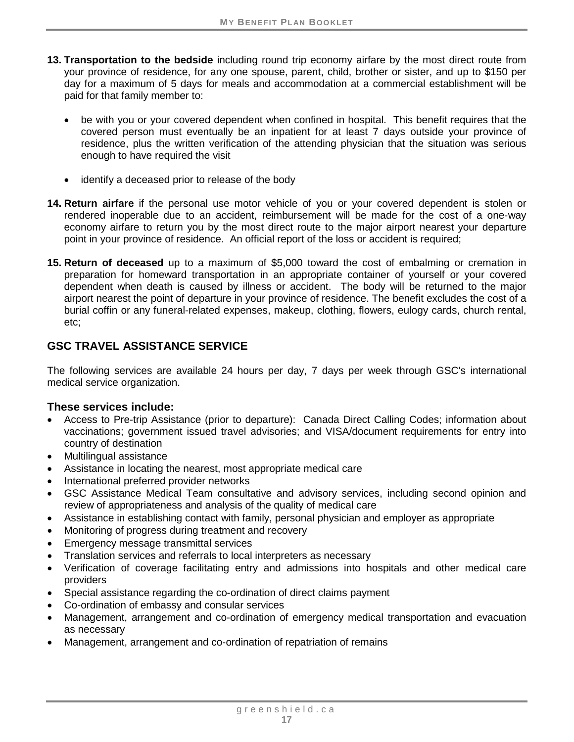- **13. Transportation to the bedside** including round trip economy airfare by the most direct route from your province of residence, for any one spouse, parent, child, brother or sister, and up to \$150 per day for a maximum of 5 days for meals and accommodation at a commercial establishment will be paid for that family member to:
	- be with you or your covered dependent when confined in hospital. This benefit requires that the covered person must eventually be an inpatient for at least 7 days outside your province of residence, plus the written verification of the attending physician that the situation was serious enough to have required the visit
	- identify a deceased prior to release of the body
- **14. Return airfare** if the personal use motor vehicle of you or your covered dependent is stolen or rendered inoperable due to an accident, reimbursement will be made for the cost of a one-way economy airfare to return you by the most direct route to the major airport nearest your departure point in your province of residence. An official report of the loss or accident is required;
- **15. Return of deceased** up to a maximum of \$5,000 toward the cost of embalming or cremation in preparation for homeward transportation in an appropriate container of yourself or your covered dependent when death is caused by illness or accident. The body will be returned to the major airport nearest the point of departure in your province of residence. The benefit excludes the cost of a burial coffin or any funeral-related expenses, makeup, clothing, flowers, eulogy cards, church rental, etc;

### **GSC TRAVEL ASSISTANCE SERVICE**

The following services are available 24 hours per day, 7 days per week through GSC's international medical service organization.

#### **These services include:**

- Access to Pre-trip Assistance (prior to departure): Canada Direct Calling Codes; information about vaccinations; government issued travel advisories; and VISA/document requirements for entry into country of destination
- Multilingual assistance
- Assistance in locating the nearest, most appropriate medical care
- International preferred provider networks
- GSC Assistance Medical Team consultative and advisory services, including second opinion and review of appropriateness and analysis of the quality of medical care
- Assistance in establishing contact with family, personal physician and employer as appropriate
- Monitoring of progress during treatment and recovery
- Emergency message transmittal services
- Translation services and referrals to local interpreters as necessary
- Verification of coverage facilitating entry and admissions into hospitals and other medical care providers
- Special assistance regarding the co-ordination of direct claims payment
- Co-ordination of embassy and consular services
- Management, arrangement and co-ordination of emergency medical transportation and evacuation as necessary
- Management, arrangement and co-ordination of repatriation of remains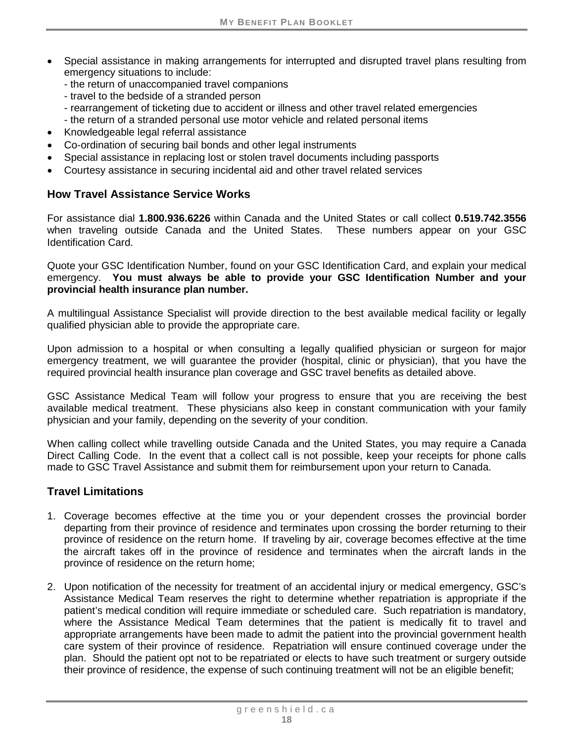- Special assistance in making arrangements for interrupted and disrupted travel plans resulting from emergency situations to include:
	- the return of unaccompanied travel companions
	- travel to the bedside of a stranded person
	- rearrangement of ticketing due to accident or illness and other travel related emergencies
	- the return of a stranded personal use motor vehicle and related personal items
- Knowledgeable legal referral assistance
- Co-ordination of securing bail bonds and other legal instruments
- Special assistance in replacing lost or stolen travel documents including passports
- Courtesy assistance in securing incidental aid and other travel related services

### **How Travel Assistance Service Works**

For assistance dial **1.800.936.6226** within Canada and the United States or call collect **0.519.742.3556**  when traveling outside Canada and the United States. These numbers appear on your GSC Identification Card.

Quote your GSC Identification Number, found on your GSC Identification Card, and explain your medical emergency. **You must always be able to provide your GSC Identification Number and your provincial health insurance plan number.**

A multilingual Assistance Specialist will provide direction to the best available medical facility or legally qualified physician able to provide the appropriate care.

Upon admission to a hospital or when consulting a legally qualified physician or surgeon for major emergency treatment, we will guarantee the provider (hospital, clinic or physician), that you have the required provincial health insurance plan coverage and GSC travel benefits as detailed above.

GSC Assistance Medical Team will follow your progress to ensure that you are receiving the best available medical treatment. These physicians also keep in constant communication with your family physician and your family, depending on the severity of your condition.

When calling collect while travelling outside Canada and the United States, you may require a Canada Direct Calling Code. In the event that a collect call is not possible, keep your receipts for phone calls made to GSC Travel Assistance and submit them for reimbursement upon your return to Canada.

#### **Travel Limitations**

- 1. Coverage becomes effective at the time you or your dependent crosses the provincial border departing from their province of residence and terminates upon crossing the border returning to their province of residence on the return home. If traveling by air, coverage becomes effective at the time the aircraft takes off in the province of residence and terminates when the aircraft lands in the province of residence on the return home;
- 2. Upon notification of the necessity for treatment of an accidental injury or medical emergency, GSC's Assistance Medical Team reserves the right to determine whether repatriation is appropriate if the patient's medical condition will require immediate or scheduled care. Such repatriation is mandatory, where the Assistance Medical Team determines that the patient is medically fit to travel and appropriate arrangements have been made to admit the patient into the provincial government health care system of their province of residence. Repatriation will ensure continued coverage under the plan. Should the patient opt not to be repatriated or elects to have such treatment or surgery outside their province of residence, the expense of such continuing treatment will not be an eligible benefit;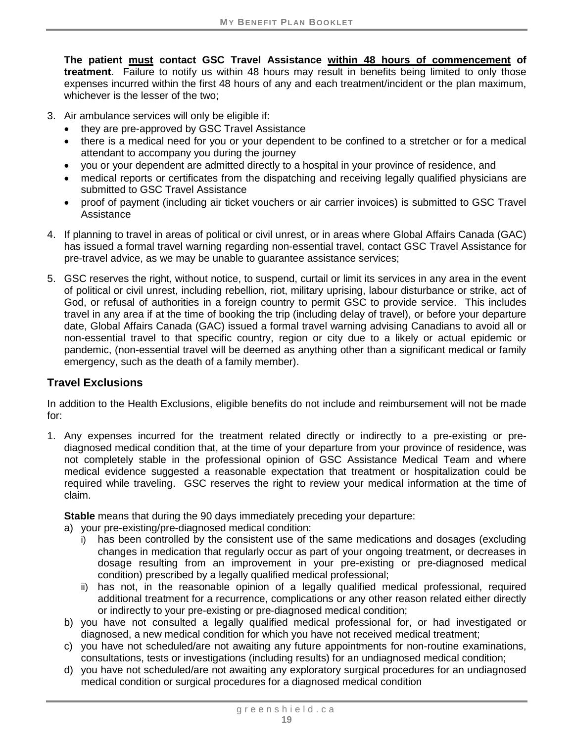**The patient must contact GSC Travel Assistance within 48 hours of commencement of treatment**. Failure to notify us within 48 hours may result in benefits being limited to only those expenses incurred within the first 48 hours of any and each treatment/incident or the plan maximum, whichever is the lesser of the two;

- 3. Air ambulance services will only be eligible if:
	- they are pre-approved by GSC Travel Assistance
	- there is a medical need for you or your dependent to be confined to a stretcher or for a medical attendant to accompany you during the journey
	- you or your dependent are admitted directly to a hospital in your province of residence, and
	- medical reports or certificates from the dispatching and receiving legally qualified physicians are submitted to GSC Travel Assistance
	- proof of payment (including air ticket vouchers or air carrier invoices) is submitted to GSC Travel Assistance
- 4. If planning to travel in areas of political or civil unrest, or in areas where Global Affairs Canada (GAC) has issued a formal travel warning regarding non-essential travel, contact GSC Travel Assistance for pre-travel advice, as we may be unable to guarantee assistance services;
- 5. GSC reserves the right, without notice, to suspend, curtail or limit its services in any area in the event of political or civil unrest, including rebellion, riot, military uprising, labour disturbance or strike, act of God, or refusal of authorities in a foreign country to permit GSC to provide service. This includes travel in any area if at the time of booking the trip (including delay of travel), or before your departure date, Global Affairs Canada (GAC) issued a formal travel warning advising Canadians to avoid all or non-essential travel to that specific country, region or city due to a likely or actual epidemic or pandemic, (non-essential travel will be deemed as anything other than a significant medical or family emergency, such as the death of a family member).

# **Travel Exclusions**

In addition to the Health Exclusions, eligible benefits do not include and reimbursement will not be made for:

1. Any expenses incurred for the treatment related directly or indirectly to a pre-existing or prediagnosed medical condition that, at the time of your departure from your province of residence, was not completely stable in the professional opinion of GSC Assistance Medical Team and where medical evidence suggested a reasonable expectation that treatment or hospitalization could be required while traveling. GSC reserves the right to review your medical information at the time of claim.

**Stable** means that during the 90 days immediately preceding your departure:

- a) your pre-existing/pre-diagnosed medical condition:
	- i) has been controlled by the consistent use of the same medications and dosages (excluding changes in medication that regularly occur as part of your ongoing treatment, or decreases in dosage resulting from an improvement in your pre-existing or pre-diagnosed medical condition) prescribed by a legally qualified medical professional;
	- ii) has not, in the reasonable opinion of a legally qualified medical professional, required additional treatment for a recurrence, complications or any other reason related either directly or indirectly to your pre-existing or pre-diagnosed medical condition;
- b) you have not consulted a legally qualified medical professional for, or had investigated or diagnosed, a new medical condition for which you have not received medical treatment;
- c) you have not scheduled/are not awaiting any future appointments for non-routine examinations, consultations, tests or investigations (including results) for an undiagnosed medical condition;
- d) you have not scheduled/are not awaiting any exploratory surgical procedures for an undiagnosed medical condition or surgical procedures for a diagnosed medical condition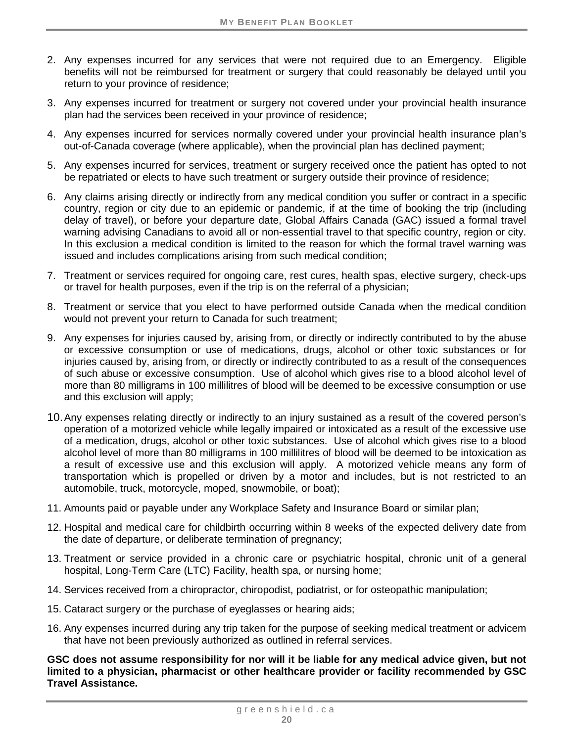- 2. Any expenses incurred for any services that were not required due to an Emergency. Eligible benefits will not be reimbursed for treatment or surgery that could reasonably be delayed until you return to your province of residence;
- 3. Any expenses incurred for treatment or surgery not covered under your provincial health insurance plan had the services been received in your province of residence;
- 4. Any expenses incurred for services normally covered under your provincial health insurance plan's out-of-Canada coverage (where applicable), when the provincial plan has declined payment;
- 5. Any expenses incurred for services, treatment or surgery received once the patient has opted to not be repatriated or elects to have such treatment or surgery outside their province of residence;
- 6. Any claims arising directly or indirectly from any medical condition you suffer or contract in a specific country, region or city due to an epidemic or pandemic, if at the time of booking the trip (including delay of travel), or before your departure date, Global Affairs Canada (GAC) issued a formal travel warning advising Canadians to avoid all or non-essential travel to that specific country, region or city. In this exclusion a medical condition is limited to the reason for which the formal travel warning was issued and includes complications arising from such medical condition;
- 7. Treatment or services required for ongoing care, rest cures, health spas, elective surgery, check-ups or travel for health purposes, even if the trip is on the referral of a physician;
- 8. Treatment or service that you elect to have performed outside Canada when the medical condition would not prevent your return to Canada for such treatment;
- 9. Any expenses for injuries caused by, arising from, or directly or indirectly contributed to by the abuse or excessive consumption or use of medications, drugs, alcohol or other toxic substances or for injuries caused by, arising from, or directly or indirectly contributed to as a result of the consequences of such abuse or excessive consumption. Use of alcohol which gives rise to a blood alcohol level of more than 80 milligrams in 100 millilitres of blood will be deemed to be excessive consumption or use and this exclusion will apply;
- 10.Any expenses relating directly or indirectly to an injury sustained as a result of the covered person's operation of a motorized vehicle while legally impaired or intoxicated as a result of the excessive use of a medication, drugs, alcohol or other toxic substances. Use of alcohol which gives rise to a blood alcohol level of more than 80 milligrams in 100 millilitres of blood will be deemed to be intoxication as a result of excessive use and this exclusion will apply. A motorized vehicle means any form of transportation which is propelled or driven by a motor and includes, but is not restricted to an automobile, truck, motorcycle, moped, snowmobile, or boat);
- 11. Amounts paid or payable under any Workplace Safety and Insurance Board or similar plan;
- 12. Hospital and medical care for childbirth occurring within 8 weeks of the expected delivery date from the date of departure, or deliberate termination of pregnancy;
- 13. Treatment or service provided in a chronic care or psychiatric hospital, chronic unit of a general hospital, Long-Term Care (LTC) Facility, health spa, or nursing home;
- 14. Services received from a chiropractor, chiropodist, podiatrist, or for osteopathic manipulation;
- 15. Cataract surgery or the purchase of eyeglasses or hearing aids;
- 16. Any expenses incurred during any trip taken for the purpose of seeking medical treatment or advicem that have not been previously authorized as outlined in referral services.

**GSC does not assume responsibility for nor will it be liable for any medical advice given, but not limited to a physician, pharmacist or other healthcare provider or facility recommended by GSC Travel Assistance.**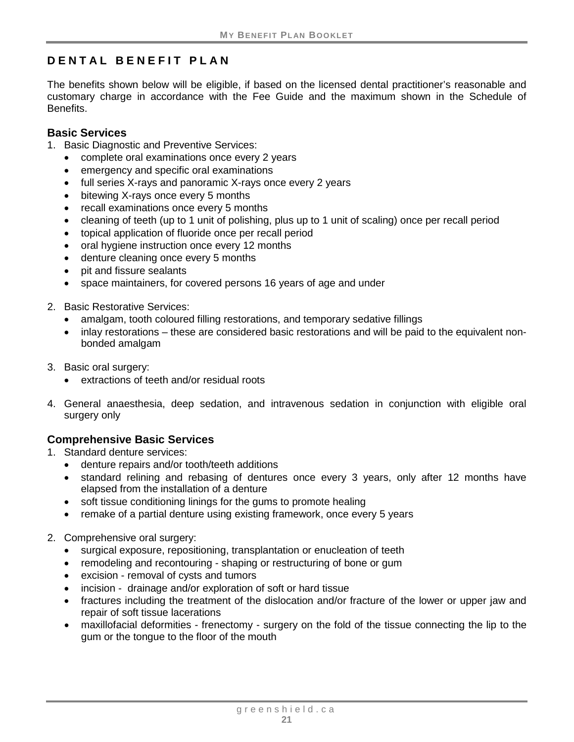# <span id="page-26-0"></span>**DENTAL BENEFIT PLAN**

The benefits shown below will be eligible, if based on the licensed dental practitioner's reasonable and customary charge in accordance with the Fee Guide and the maximum shown in the Schedule of Benefits.

#### <span id="page-26-1"></span>**Basic Services**

- 1. Basic Diagnostic and Preventive Services:
	- complete oral examinations once every 2 years
	- emergency and specific oral examinations
	- full series X-rays and panoramic X-rays once every 2 years
	- bitewing X-rays once every 5 months
	- recall examinations once every 5 months
	- cleaning of teeth (up to 1 unit of polishing, plus up to 1 unit of scaling) once per recall period
	- topical application of fluoride once per recall period
	- oral hygiene instruction once every 12 months
	- denture cleaning once every 5 months
	- pit and fissure sealants
	- space maintainers, for covered persons 16 years of age and under
- 2. Basic Restorative Services:
	- amalgam, tooth coloured filling restorations, and temporary sedative fillings
	- inlay restorations these are considered basic restorations and will be paid to the equivalent nonbonded amalgam
- 3. Basic oral surgery:
	- extractions of teeth and/or residual roots
- 4. General anaesthesia, deep sedation, and intravenous sedation in conjunction with eligible oral surgery only

# <span id="page-26-2"></span>**Comprehensive Basic Services**

- 1. Standard denture services:
	- denture repairs and/or tooth/teeth additions
	- standard relining and rebasing of dentures once every 3 years, only after 12 months have elapsed from the installation of a denture
	- soft tissue conditioning linings for the gums to promote healing
	- remake of a partial denture using existing framework, once every 5 years
- 2. Comprehensive oral surgery:
	- surgical exposure, repositioning, transplantation or enucleation of teeth
	- remodeling and recontouring shaping or restructuring of bone or gum
	- excision removal of cysts and tumors
	- incision drainage and/or exploration of soft or hard tissue
	- fractures including the treatment of the dislocation and/or fracture of the lower or upper jaw and repair of soft tissue lacerations
	- maxillofacial deformities frenectomy surgery on the fold of the tissue connecting the lip to the gum or the tongue to the floor of the mouth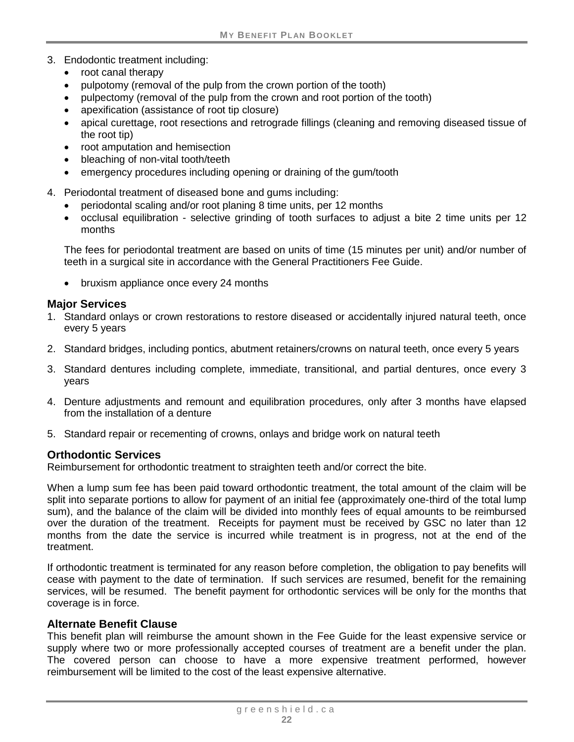- 3. Endodontic treatment including:
	- root canal therapy
	- pulpotomy (removal of the pulp from the crown portion of the tooth)
	- pulpectomy (removal of the pulp from the crown and root portion of the tooth)
	- apexification (assistance of root tip closure)
	- apical curettage, root resections and retrograde fillings (cleaning and removing diseased tissue of the root tip)
	- root amputation and hemisection
	- bleaching of non-vital tooth/teeth
	- emergency procedures including opening or draining of the gum/tooth
- 4. Periodontal treatment of diseased bone and gums including:
	- periodontal scaling and/or root planing 8 time units, per 12 months
	- occlusal equilibration selective grinding of tooth surfaces to adjust a bite 2 time units per 12 months

The fees for periodontal treatment are based on units of time (15 minutes per unit) and/or number of teeth in a surgical site in accordance with the General Practitioners Fee Guide.

• bruxism appliance once every 24 months

#### <span id="page-27-0"></span>**Major Services**

- 1. Standard onlays or crown restorations to restore diseased or accidentally injured natural teeth, once every 5 years
- 2. Standard bridges, including pontics, abutment retainers/crowns on natural teeth, once every 5 years
- 3. Standard dentures including complete, immediate, transitional, and partial dentures, once every 3 years
- 4. Denture adjustments and remount and equilibration procedures, only after 3 months have elapsed from the installation of a denture
- 5. Standard repair or recementing of crowns, onlays and bridge work on natural teeth

#### <span id="page-27-1"></span>**Orthodontic Services**

Reimbursement for orthodontic treatment to straighten teeth and/or correct the bite.

When a lump sum fee has been paid toward orthodontic treatment, the total amount of the claim will be split into separate portions to allow for payment of an initial fee (approximately one-third of the total lump sum), and the balance of the claim will be divided into monthly fees of equal amounts to be reimbursed over the duration of the treatment. Receipts for payment must be received by GSC no later than 12 months from the date the service is incurred while treatment is in progress, not at the end of the treatment.

If orthodontic treatment is terminated for any reason before completion, the obligation to pay benefits will cease with payment to the date of termination. If such services are resumed, benefit for the remaining services, will be resumed. The benefit payment for orthodontic services will be only for the months that coverage is in force.

#### **Alternate Benefit Clause**

This benefit plan will reimburse the amount shown in the Fee Guide for the least expensive service or supply where two or more professionally accepted courses of treatment are a benefit under the plan. The covered person can choose to have a more expensive treatment performed, however reimbursement will be limited to the cost of the least expensive alternative.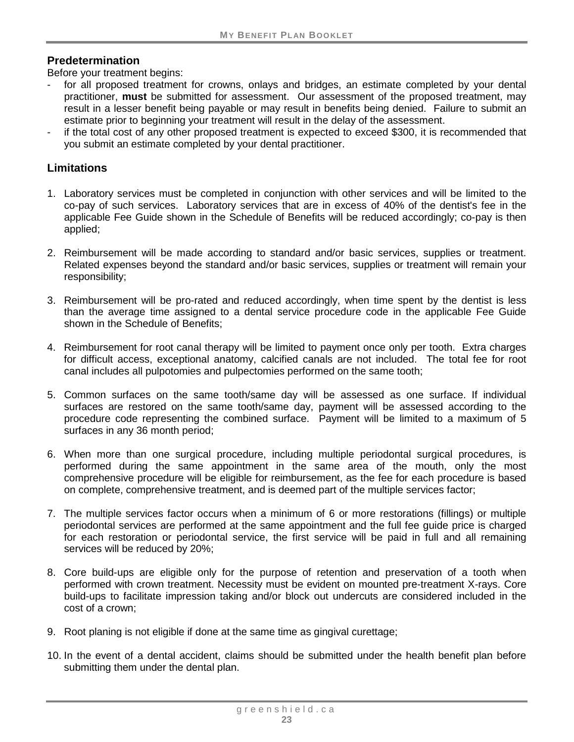#### **Predetermination**

Before your treatment begins:

- for all proposed treatment for crowns, onlays and bridges, an estimate completed by your dental practitioner, **must** be submitted for assessment. Our assessment of the proposed treatment, may result in a lesser benefit being payable or may result in benefits being denied. Failure to submit an estimate prior to beginning your treatment will result in the delay of the assessment.
- if the total cost of any other proposed treatment is expected to exceed \$300, it is recommended that you submit an estimate completed by your dental practitioner.

#### **Limitations**

- 1. Laboratory services must be completed in conjunction with other services and will be limited to the co-pay of such services. Laboratory services that are in excess of 40% of the dentist's fee in the applicable Fee Guide shown in the Schedule of Benefits will be reduced accordingly; co-pay is then applied;
- 2. Reimbursement will be made according to standard and/or basic services, supplies or treatment. Related expenses beyond the standard and/or basic services, supplies or treatment will remain your responsibility;
- 3. Reimbursement will be pro-rated and reduced accordingly, when time spent by the dentist is less than the average time assigned to a dental service procedure code in the applicable Fee Guide shown in the Schedule of Benefits;
- 4. Reimbursement for root canal therapy will be limited to payment once only per tooth. Extra charges for difficult access, exceptional anatomy, calcified canals are not included. The total fee for root canal includes all pulpotomies and pulpectomies performed on the same tooth;
- 5. Common surfaces on the same tooth/same day will be assessed as one surface. If individual surfaces are restored on the same tooth/same day, payment will be assessed according to the procedure code representing the combined surface. Payment will be limited to a maximum of 5 surfaces in any 36 month period;
- 6. When more than one surgical procedure, including multiple periodontal surgical procedures, is performed during the same appointment in the same area of the mouth, only the most comprehensive procedure will be eligible for reimbursement, as the fee for each procedure is based on complete, comprehensive treatment, and is deemed part of the multiple services factor;
- 7. The multiple services factor occurs when a minimum of 6 or more restorations (fillings) or multiple periodontal services are performed at the same appointment and the full fee guide price is charged for each restoration or periodontal service, the first service will be paid in full and all remaining services will be reduced by 20%;
- 8. Core build-ups are eligible only for the purpose of retention and preservation of a tooth when performed with crown treatment. Necessity must be evident on mounted pre-treatment X-rays. Core build-ups to facilitate impression taking and/or block out undercuts are considered included in the cost of a crown;
- 9. Root planing is not eligible if done at the same time as gingival curettage;
- 10. In the event of a dental accident, claims should be submitted under the health benefit plan before submitting them under the dental plan.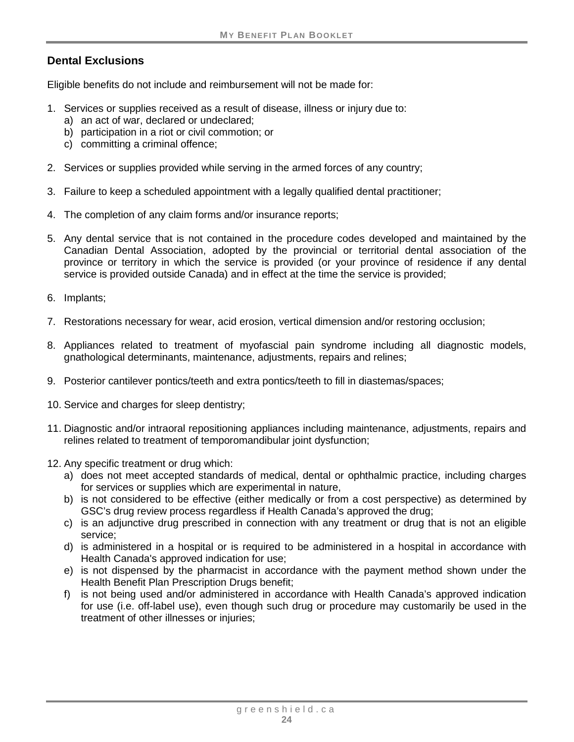### **Dental Exclusions**

Eligible benefits do not include and reimbursement will not be made for:

- 1. Services or supplies received as a result of disease, illness or injury due to:
	- a) an act of war, declared or undeclared;
	- b) participation in a riot or civil commotion; or
	- c) committing a criminal offence;
- 2. Services or supplies provided while serving in the armed forces of any country;
- 3. Failure to keep a scheduled appointment with a legally qualified dental practitioner;
- 4. The completion of any claim forms and/or insurance reports;
- 5. Any dental service that is not contained in the procedure codes developed and maintained by the Canadian Dental Association, adopted by the provincial or territorial dental association of the province or territory in which the service is provided (or your province of residence if any dental service is provided outside Canada) and in effect at the time the service is provided;
- 6. Implants;
- 7. Restorations necessary for wear, acid erosion, vertical dimension and/or restoring occlusion;
- 8. Appliances related to treatment of myofascial pain syndrome including all diagnostic models, gnathological determinants, maintenance, adjustments, repairs and relines;
- 9. Posterior cantilever pontics/teeth and extra pontics/teeth to fill in diastemas/spaces;
- 10. Service and charges for sleep dentistry;
- 11. Diagnostic and/or intraoral repositioning appliances including maintenance, adjustments, repairs and relines related to treatment of temporomandibular joint dysfunction;
- 12. Any specific treatment or drug which:
	- a) does not meet accepted standards of medical, dental or ophthalmic practice, including charges for services or supplies which are experimental in nature,
	- b) is not considered to be effective (either medically or from a cost perspective) as determined by GSC's drug review process regardless if Health Canada's approved the drug;
	- c) is an adjunctive drug prescribed in connection with any treatment or drug that is not an eligible service;
	- d) is administered in a hospital or is required to be administered in a hospital in accordance with Health Canada's approved indication for use;
	- e) is not dispensed by the pharmacist in accordance with the payment method shown under the Health Benefit Plan Prescription Drugs benefit;
	- f) is not being used and/or administered in accordance with Health Canada's approved indication for use (i.e. off-label use), even though such drug or procedure may customarily be used in the treatment of other illnesses or injuries;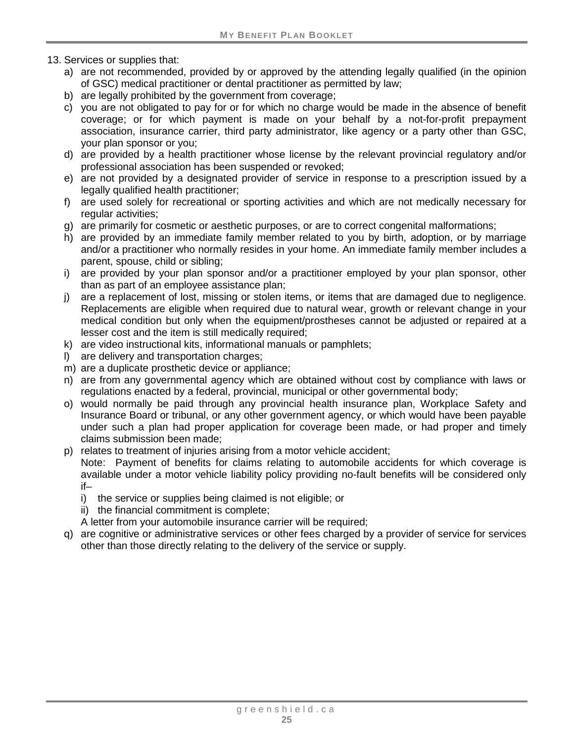13. Services or supplies that:

- a) are not recommended, provided by or approved by the attending legally qualified (in the opinion of GSC) medical practitioner or dental practitioner as permitted by law;
- b) are legally prohibited by the government from coverage;
- c) you are not obligated to pay for or for which no charge would be made in the absence of benefit coverage; or for which payment is made on your behalf by a not-for-profit prepayment association, insurance carrier, third party administrator, like agency or a party other than GSC, your plan sponsor or you;
- d) are provided by a health practitioner whose license by the relevant provincial regulatory and/or professional association has been suspended or revoked;
- e) are not provided by a designated provider of service in response to a prescription issued by a legally qualified health practitioner;
- f) are used solely for recreational or sporting activities and which are not medically necessary for regular activities;
- g) are primarily for cosmetic or aesthetic purposes, or are to correct congenital malformations;
- h) are provided by an immediate family member related to you by birth, adoption, or by marriage and/or a practitioner who normally resides in your home. An immediate family member includes a parent, spouse, child or sibling;
- i) are provided by your plan sponsor and/or a practitioner employed by your plan sponsor, other than as part of an employee assistance plan;
- j) are a replacement of lost, missing or stolen items, or items that are damaged due to negligence. Replacements are eligible when required due to natural wear, growth or relevant change in your medical condition but only when the equipment/prostheses cannot be adjusted or repaired at a lesser cost and the item is still medically required;
- k) are video instructional kits, informational manuals or pamphlets;
- l) are delivery and transportation charges;
- m) are a duplicate prosthetic device or appliance;
- n) are from any governmental agency which are obtained without cost by compliance with laws or regulations enacted by a federal, provincial, municipal or other governmental body;
- o) would normally be paid through any provincial health insurance plan, Workplace Safety and Insurance Board or tribunal, or any other government agency, or which would have been payable under such a plan had proper application for coverage been made, or had proper and timely claims submission been made;
- p) relates to treatment of injuries arising from a motor vehicle accident;

Note: Payment of benefits for claims relating to automobile accidents for which coverage is available under a motor vehicle liability policy providing no-fault benefits will be considered only if–

- i) the service or supplies being claimed is not eligible; or
- ii) the financial commitment is complete;
- A letter from your automobile insurance carrier will be required;
- q) are cognitive or administrative services or other fees charged by a provider of service for services other than those directly relating to the delivery of the service or supply.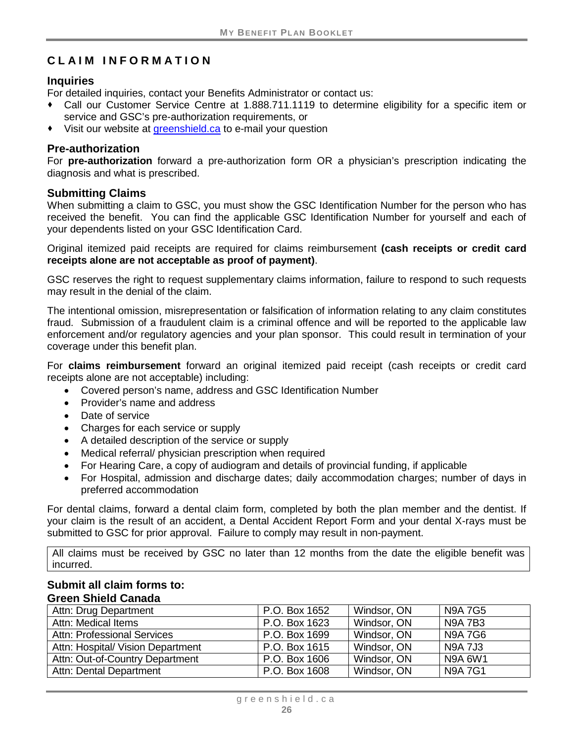# <span id="page-31-0"></span>**CLAIM INFORMATION**

#### **Inquiries**

For detailed inquiries, contact your Benefits Administrator or contact us:

- Call our Customer Service Centre at 1.888.711.1119 to determine eligibility for a specific item or service and GSC's pre-authorization requirements, or
- Visit our website at [greenshield.ca](http://www.greenshield.ca/) to e-mail your question

#### **Pre-authorization**

For **pre-authorization** forward a pre-authorization form OR a physician's prescription indicating the diagnosis and what is prescribed.

#### **Submitting Claims**

When submitting a claim to GSC, you must show the GSC Identification Number for the person who has received the benefit. You can find the applicable GSC Identification Number for yourself and each of your dependents listed on your GSC Identification Card.

Original itemized paid receipts are required for claims reimbursement **(cash receipts or credit card receipts alone are not acceptable as proof of payment)**.

GSC reserves the right to request supplementary claims information, failure to respond to such requests may result in the denial of the claim.

The intentional omission, misrepresentation or falsification of information relating to any claim constitutes fraud. Submission of a fraudulent claim is a criminal offence and will be reported to the applicable law enforcement and/or regulatory agencies and your plan sponsor. This could result in termination of your coverage under this benefit plan.

For **claims reimbursement** forward an original itemized paid receipt (cash receipts or credit card receipts alone are not acceptable) including:

- Covered person's name, address and GSC Identification Number
- Provider's name and address
- Date of service
- Charges for each service or supply
- A detailed description of the service or supply
- Medical referral/ physician prescription when required
- For Hearing Care, a copy of audiogram and details of provincial funding, if applicable
- For Hospital, admission and discharge dates; daily accommodation charges; number of days in preferred accommodation

For dental claims, forward a dental claim form, completed by both the plan member and the dentist. If your claim is the result of an accident, a Dental Accident Report Form and your dental X-rays must be submitted to GSC for prior approval. Failure to comply may result in non-payment.

All claims must be received by GSC no later than 12 months from the date the eligible benefit was incurred.

#### **Submit all claim forms to: Green Shield Canada**

| Attn: Drug Department              | P.O. Box 1652 | Windsor, ON | <b>N9A7G5</b>  |
|------------------------------------|---------------|-------------|----------------|
| Attn: Medical Items                | P.O. Box 1623 | Windsor, ON | <b>N9A7B3</b>  |
| <b>Attn: Professional Services</b> | P.O. Box 1699 | Windsor, ON | <b>N9A7G6</b>  |
| Attn: Hospital/ Vision Department  | P.O. Box 1615 | Windsor, ON | <b>N9A 7J3</b> |
| Attn: Out-of-Country Department    | P.O. Box 1606 | Windsor, ON | N9A 6W1        |
| Attn: Dental Department            | P.O. Box 1608 | Windsor, ON | <b>N9A7G1</b>  |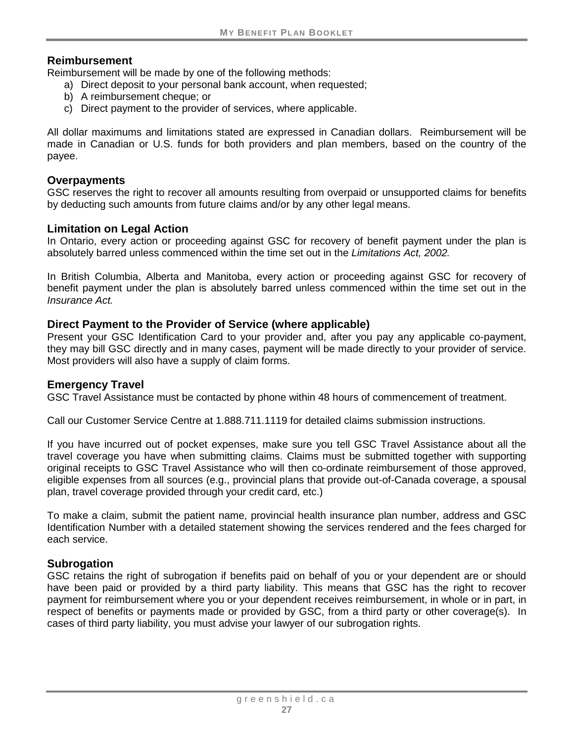#### **Reimbursement**

Reimbursement will be made by one of the following methods:

- a) Direct deposit to your personal bank account, when requested;
- b) A reimbursement cheque; or
- c) Direct payment to the provider of services, where applicable.

All dollar maximums and limitations stated are expressed in Canadian dollars. Reimbursement will be made in Canadian or U.S. funds for both providers and plan members, based on the country of the payee.

#### **Overpayments**

GSC reserves the right to recover all amounts resulting from overpaid or unsupported claims for benefits by deducting such amounts from future claims and/or by any other legal means.

#### **Limitation on Legal Action**

In Ontario, every action or proceeding against GSC for recovery of benefit payment under the plan is absolutely barred unless commenced within the time set out in the *Limitations Act, 2002.*

In British Columbia, Alberta and Manitoba, every action or proceeding against GSC for recovery of benefit payment under the plan is absolutely barred unless commenced within the time set out in the *Insurance Act.*

#### **Direct Payment to the Provider of Service (where applicable)**

Present your GSC Identification Card to your provider and, after you pay any applicable co-payment, they may bill GSC directly and in many cases, payment will be made directly to your provider of service. Most providers will also have a supply of claim forms.

#### **Emergency Travel**

GSC Travel Assistance must be contacted by phone within 48 hours of commencement of treatment.

Call our Customer Service Centre at 1.888.711.1119 for detailed claims submission instructions.

If you have incurred out of pocket expenses, make sure you tell GSC Travel Assistance about all the travel coverage you have when submitting claims. Claims must be submitted together with supporting original receipts to GSC Travel Assistance who will then co-ordinate reimbursement of those approved, eligible expenses from all sources (e.g., provincial plans that provide out-of-Canada coverage, a spousal plan, travel coverage provided through your credit card, etc.)

To make a claim, submit the patient name, provincial health insurance plan number, address and GSC Identification Number with a detailed statement showing the services rendered and the fees charged for each service.

#### **Subrogation**

GSC retains the right of subrogation if benefits paid on behalf of you or your dependent are or should have been paid or provided by a third party liability. This means that GSC has the right to recover payment for reimbursement where you or your dependent receives reimbursement, in whole or in part, in respect of benefits or payments made or provided by GSC, from a third party or other coverage(s). In cases of third party liability, you must advise your lawyer of our subrogation rights.